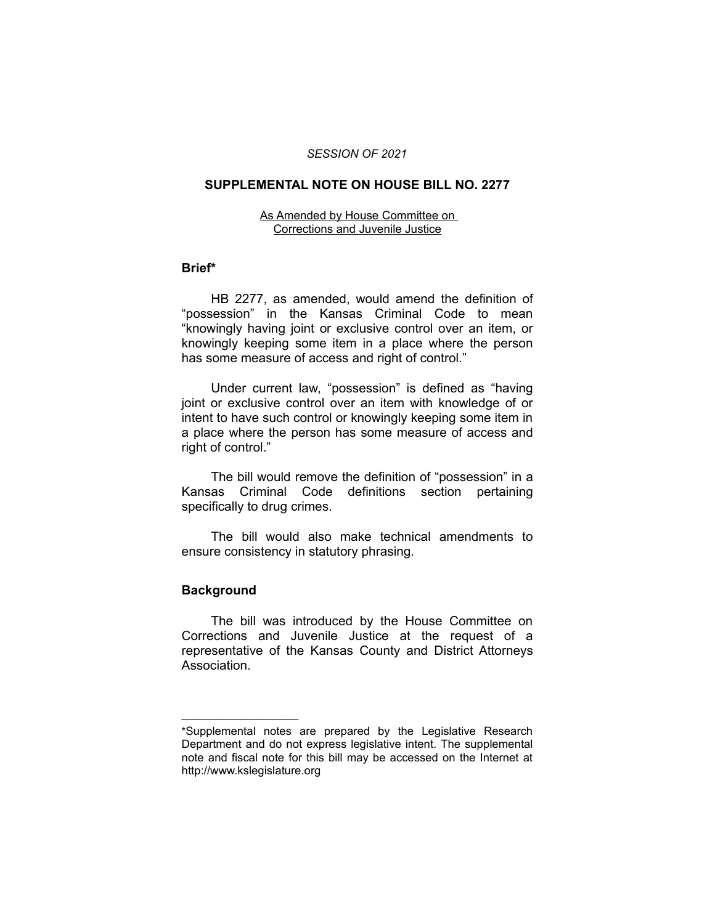#### *SESSION OF 2021*

### **SUPPLEMENTAL NOTE ON HOUSE BILL NO. 2277**

#### As Amended by House Committee on Corrections and Juvenile Justice

## **Brief\***

HB 2277, as amended, would amend the definition of "possession" in the Kansas Criminal Code to mean "knowingly having joint or exclusive control over an item, or knowingly keeping some item in a place where the person has some measure of access and right of control."

Under current law, "possession" is defined as "having joint or exclusive control over an item with knowledge of or intent to have such control or knowingly keeping some item in a place where the person has some measure of access and right of control."

The bill would remove the definition of "possession" in a Kansas Criminal Code definitions section pertaining specifically to drug crimes.

The bill would also make technical amendments to ensure consistency in statutory phrasing.

# **Background**

 $\overline{\phantom{a}}$  , where  $\overline{\phantom{a}}$  , where  $\overline{\phantom{a}}$ 

The bill was introduced by the House Committee on Corrections and Juvenile Justice at the request of a representative of the Kansas County and District Attorneys Association.

<sup>\*</sup>Supplemental notes are prepared by the Legislative Research Department and do not express legislative intent. The supplemental note and fiscal note for this bill may be accessed on the Internet at http://www.kslegislature.org